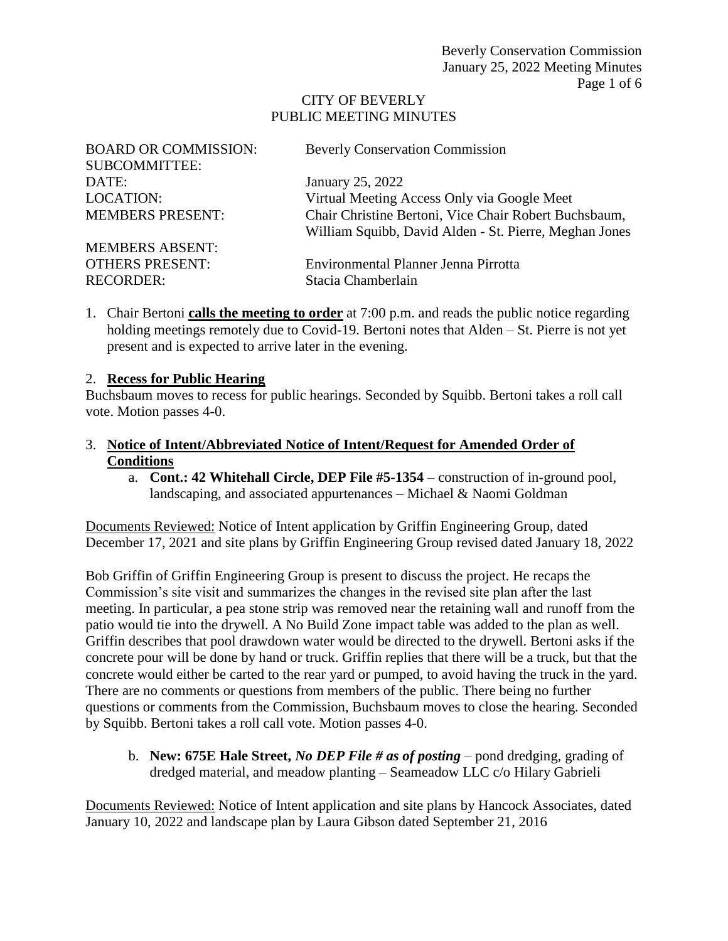#### CITY OF BEVERLY PUBLIC MEETING MINUTES

| <b>BOARD OR COMMISSION:</b> | <b>Beverly Conservation Commission</b>                 |
|-----------------------------|--------------------------------------------------------|
| <b>SUBCOMMITTEE:</b>        |                                                        |
| DATE:                       | January 25, 2022                                       |
| <b>LOCATION:</b>            | Virtual Meeting Access Only via Google Meet            |
| <b>MEMBERS PRESENT:</b>     | Chair Christine Bertoni, Vice Chair Robert Buchsbaum,  |
|                             | William Squibb, David Alden - St. Pierre, Meghan Jones |
| <b>MEMBERS ABSENT:</b>      |                                                        |
| <b>OTHERS PRESENT:</b>      | Environmental Planner Jenna Pirrotta                   |
| <b>RECORDER:</b>            | Stacia Chamberlain                                     |

1. Chair Bertoni **calls the meeting to order** at 7:00 p.m. and reads the public notice regarding holding meetings remotely due to Covid-19. Bertoni notes that Alden – St. Pierre is not yet present and is expected to arrive later in the evening.

#### 2. **Recess for Public Hearing**

Buchsbaum moves to recess for public hearings. Seconded by Squibb. Bertoni takes a roll call vote. Motion passes 4-0.

## 3. **Notice of Intent/Abbreviated Notice of Intent/Request for Amended Order of Conditions**

a. **Cont.: 42 Whitehall Circle, DEP File #5-1354** – construction of in-ground pool, landscaping, and associated appurtenances – Michael & Naomi Goldman

Documents Reviewed: Notice of Intent application by Griffin Engineering Group, dated December 17, 2021 and site plans by Griffin Engineering Group revised dated January 18, 2022

Bob Griffin of Griffin Engineering Group is present to discuss the project. He recaps the Commission's site visit and summarizes the changes in the revised site plan after the last meeting. In particular, a pea stone strip was removed near the retaining wall and runoff from the patio would tie into the drywell. A No Build Zone impact table was added to the plan as well. Griffin describes that pool drawdown water would be directed to the drywell. Bertoni asks if the concrete pour will be done by hand or truck. Griffin replies that there will be a truck, but that the concrete would either be carted to the rear yard or pumped, to avoid having the truck in the yard. There are no comments or questions from members of the public. There being no further questions or comments from the Commission, Buchsbaum moves to close the hearing. Seconded by Squibb. Bertoni takes a roll call vote. Motion passes 4-0.

b. **New: 675E Hale Street,** *No DEP File # as of posting* – pond dredging, grading of dredged material, and meadow planting – Seameadow LLC c/o Hilary Gabrieli

Documents Reviewed: Notice of Intent application and site plans by Hancock Associates, dated January 10, 2022 and landscape plan by Laura Gibson dated September 21, 2016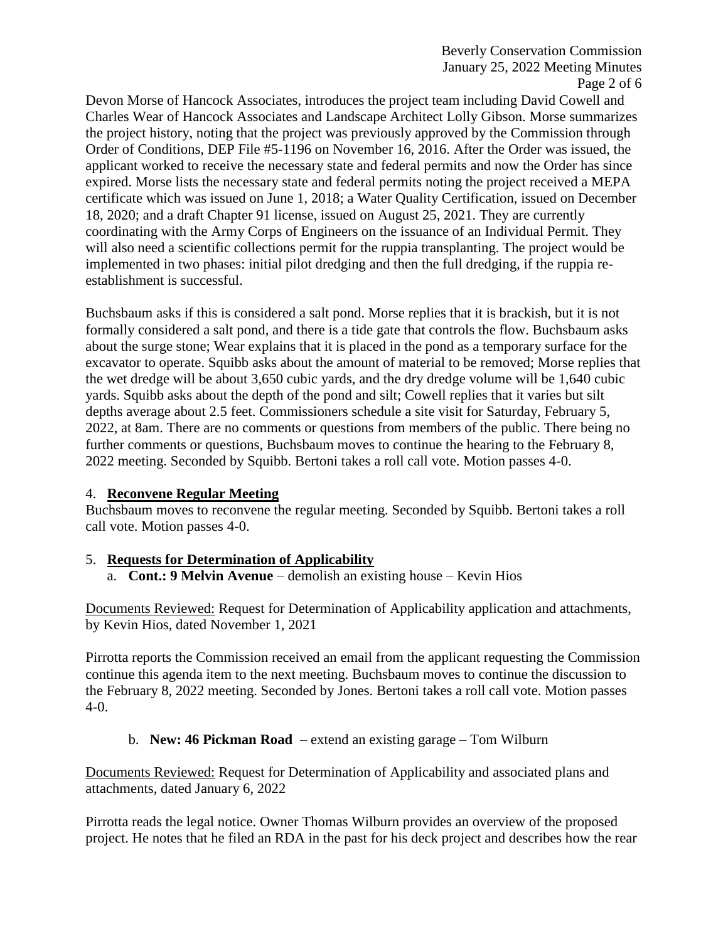Beverly Conservation Commission January 25, 2022 Meeting Minutes Page 2 of 6

Devon Morse of Hancock Associates, introduces the project team including David Cowell and Charles Wear of Hancock Associates and Landscape Architect Lolly Gibson. Morse summarizes the project history, noting that the project was previously approved by the Commission through Order of Conditions, DEP File #5-1196 on November 16, 2016. After the Order was issued, the applicant worked to receive the necessary state and federal permits and now the Order has since expired. Morse lists the necessary state and federal permits noting the project received a MEPA certificate which was issued on June 1, 2018; a Water Quality Certification, issued on December 18, 2020; and a draft Chapter 91 license, issued on August 25, 2021. They are currently coordinating with the Army Corps of Engineers on the issuance of an Individual Permit. They will also need a scientific collections permit for the ruppia transplanting. The project would be implemented in two phases: initial pilot dredging and then the full dredging, if the ruppia reestablishment is successful.

Buchsbaum asks if this is considered a salt pond. Morse replies that it is brackish, but it is not formally considered a salt pond, and there is a tide gate that controls the flow. Buchsbaum asks about the surge stone; Wear explains that it is placed in the pond as a temporary surface for the excavator to operate. Squibb asks about the amount of material to be removed; Morse replies that the wet dredge will be about 3,650 cubic yards, and the dry dredge volume will be 1,640 cubic yards. Squibb asks about the depth of the pond and silt; Cowell replies that it varies but silt depths average about 2.5 feet. Commissioners schedule a site visit for Saturday, February 5, 2022, at 8am. There are no comments or questions from members of the public. There being no further comments or questions, Buchsbaum moves to continue the hearing to the February 8, 2022 meeting. Seconded by Squibb. Bertoni takes a roll call vote. Motion passes 4-0.

## 4. **Reconvene Regular Meeting**

Buchsbaum moves to reconvene the regular meeting. Seconded by Squibb. Bertoni takes a roll call vote. Motion passes 4-0.

## 5. **Requests for Determination of Applicability**

a. **Cont.: 9 Melvin Avenue** – demolish an existing house – Kevin Hios

Documents Reviewed: Request for Determination of Applicability application and attachments, by Kevin Hios, dated November 1, 2021

Pirrotta reports the Commission received an email from the applicant requesting the Commission continue this agenda item to the next meeting. Buchsbaum moves to continue the discussion to the February 8, 2022 meeting. Seconded by Jones. Bertoni takes a roll call vote. Motion passes 4-0.

## b. **New: 46 Pickman Road** – extend an existing garage – Tom Wilburn

Documents Reviewed: Request for Determination of Applicability and associated plans and attachments, dated January 6, 2022

Pirrotta reads the legal notice. Owner Thomas Wilburn provides an overview of the proposed project. He notes that he filed an RDA in the past for his deck project and describes how the rear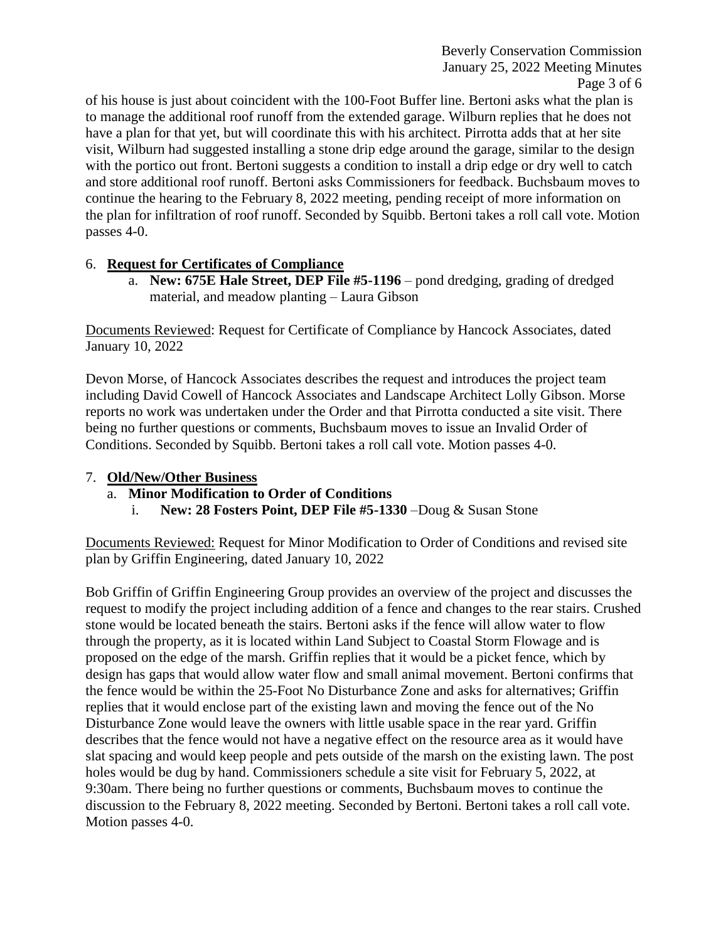of his house is just about coincident with the 100-Foot Buffer line. Bertoni asks what the plan is to manage the additional roof runoff from the extended garage. Wilburn replies that he does not have a plan for that yet, but will coordinate this with his architect. Pirrotta adds that at her site visit, Wilburn had suggested installing a stone drip edge around the garage, similar to the design with the portico out front. Bertoni suggests a condition to install a drip edge or dry well to catch and store additional roof runoff. Bertoni asks Commissioners for feedback. Buchsbaum moves to continue the hearing to the February 8, 2022 meeting, pending receipt of more information on the plan for infiltration of roof runoff. Seconded by Squibb. Bertoni takes a roll call vote. Motion passes 4-0.

## 6. **Request for Certificates of Compliance**

a. **New: 675E Hale Street, DEP File #5-1196** – pond dredging, grading of dredged material, and meadow planting – Laura Gibson

Documents Reviewed: Request for Certificate of Compliance by Hancock Associates, dated January 10, 2022

Devon Morse, of Hancock Associates describes the request and introduces the project team including David Cowell of Hancock Associates and Landscape Architect Lolly Gibson. Morse reports no work was undertaken under the Order and that Pirrotta conducted a site visit. There being no further questions or comments, Buchsbaum moves to issue an Invalid Order of Conditions. Seconded by Squibb. Bertoni takes a roll call vote. Motion passes 4-0.

## 7. **Old/New/Other Business**

- a. **Minor Modification to Order of Conditions**
	- i. **New: 28 Fosters Point, DEP File #5-1330** –Doug & Susan Stone

Documents Reviewed: Request for Minor Modification to Order of Conditions and revised site plan by Griffin Engineering, dated January 10, 2022

Bob Griffin of Griffin Engineering Group provides an overview of the project and discusses the request to modify the project including addition of a fence and changes to the rear stairs. Crushed stone would be located beneath the stairs. Bertoni asks if the fence will allow water to flow through the property, as it is located within Land Subject to Coastal Storm Flowage and is proposed on the edge of the marsh. Griffin replies that it would be a picket fence, which by design has gaps that would allow water flow and small animal movement. Bertoni confirms that the fence would be within the 25-Foot No Disturbance Zone and asks for alternatives; Griffin replies that it would enclose part of the existing lawn and moving the fence out of the No Disturbance Zone would leave the owners with little usable space in the rear yard. Griffin describes that the fence would not have a negative effect on the resource area as it would have slat spacing and would keep people and pets outside of the marsh on the existing lawn. The post holes would be dug by hand. Commissioners schedule a site visit for February 5, 2022, at 9:30am. There being no further questions or comments, Buchsbaum moves to continue the discussion to the February 8, 2022 meeting. Seconded by Bertoni. Bertoni takes a roll call vote. Motion passes 4-0.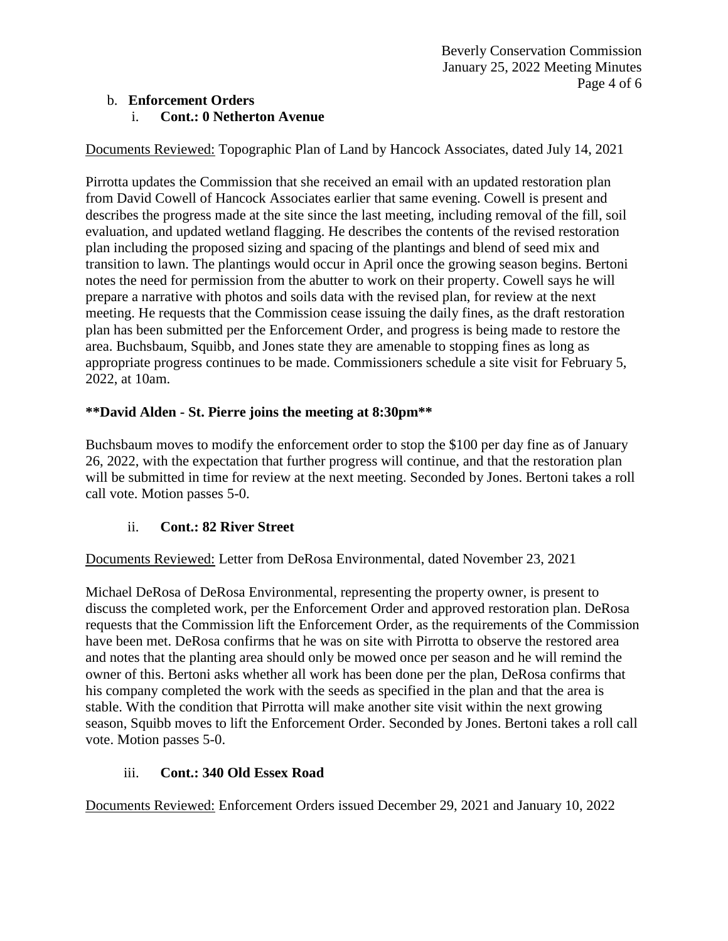## b. **Enforcement Orders**

#### i. **Cont.: 0 Netherton Avenue**

Documents Reviewed: Topographic Plan of Land by Hancock Associates, dated July 14, 2021

Pirrotta updates the Commission that she received an email with an updated restoration plan from David Cowell of Hancock Associates earlier that same evening. Cowell is present and describes the progress made at the site since the last meeting, including removal of the fill, soil evaluation, and updated wetland flagging. He describes the contents of the revised restoration plan including the proposed sizing and spacing of the plantings and blend of seed mix and transition to lawn. The plantings would occur in April once the growing season begins. Bertoni notes the need for permission from the abutter to work on their property. Cowell says he will prepare a narrative with photos and soils data with the revised plan, for review at the next meeting. He requests that the Commission cease issuing the daily fines, as the draft restoration plan has been submitted per the Enforcement Order, and progress is being made to restore the area. Buchsbaum, Squibb, and Jones state they are amenable to stopping fines as long as appropriate progress continues to be made. Commissioners schedule a site visit for February 5, 2022, at 10am.

## **\*\*David Alden - St. Pierre joins the meeting at 8:30pm\*\***

Buchsbaum moves to modify the enforcement order to stop the \$100 per day fine as of January 26, 2022, with the expectation that further progress will continue, and that the restoration plan will be submitted in time for review at the next meeting. Seconded by Jones. Bertoni takes a roll call vote. Motion passes 5-0.

# ii. **Cont.: 82 River Street**

Documents Reviewed: Letter from DeRosa Environmental, dated November 23, 2021

Michael DeRosa of DeRosa Environmental, representing the property owner, is present to discuss the completed work, per the Enforcement Order and approved restoration plan. DeRosa requests that the Commission lift the Enforcement Order, as the requirements of the Commission have been met. DeRosa confirms that he was on site with Pirrotta to observe the restored area and notes that the planting area should only be mowed once per season and he will remind the owner of this. Bertoni asks whether all work has been done per the plan, DeRosa confirms that his company completed the work with the seeds as specified in the plan and that the area is stable. With the condition that Pirrotta will make another site visit within the next growing season, Squibb moves to lift the Enforcement Order. Seconded by Jones. Bertoni takes a roll call vote. Motion passes 5-0.

## iii. **Cont.: 340 Old Essex Road**

Documents Reviewed: Enforcement Orders issued December 29, 2021 and January 10, 2022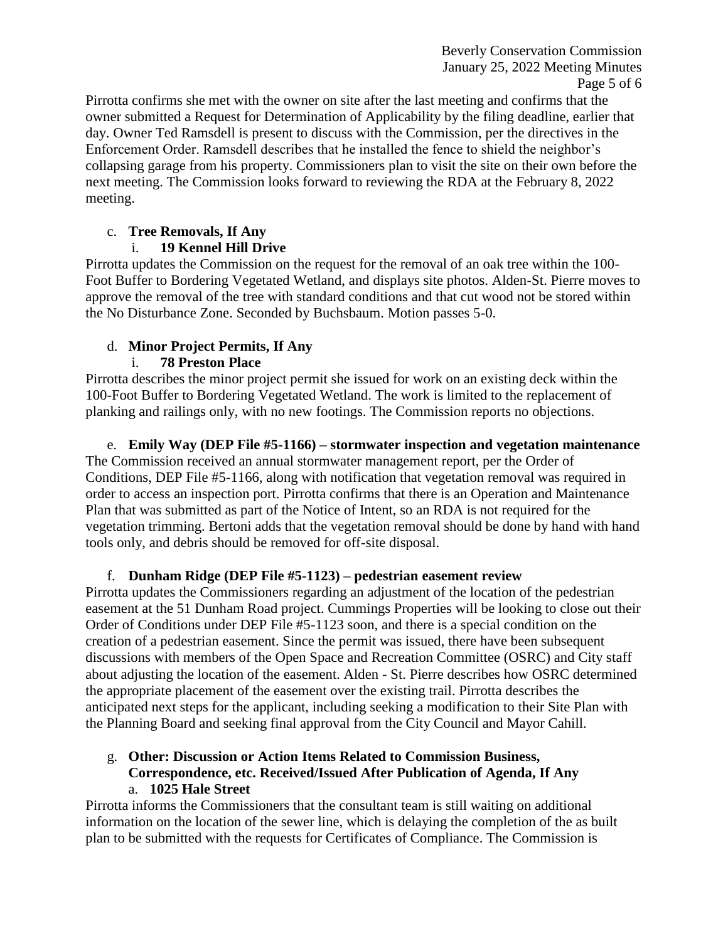Beverly Conservation Commission January 25, 2022 Meeting Minutes Page 5 of 6

Pirrotta confirms she met with the owner on site after the last meeting and confirms that the owner submitted a Request for Determination of Applicability by the filing deadline, earlier that day. Owner Ted Ramsdell is present to discuss with the Commission, per the directives in the Enforcement Order. Ramsdell describes that he installed the fence to shield the neighbor's collapsing garage from his property. Commissioners plan to visit the site on their own before the next meeting. The Commission looks forward to reviewing the RDA at the February 8, 2022 meeting.

## c. **Tree Removals, If Any**

# i. **19 Kennel Hill Drive**

Pirrotta updates the Commission on the request for the removal of an oak tree within the 100- Foot Buffer to Bordering Vegetated Wetland, and displays site photos. Alden-St. Pierre moves to approve the removal of the tree with standard conditions and that cut wood not be stored within the No Disturbance Zone. Seconded by Buchsbaum. Motion passes 5-0.

# d. **Minor Project Permits, If Any**

# i. **78 Preston Place**

Pirrotta describes the minor project permit she issued for work on an existing deck within the 100-Foot Buffer to Bordering Vegetated Wetland. The work is limited to the replacement of planking and railings only, with no new footings. The Commission reports no objections.

e. **Emily Way (DEP File #5-1166) – stormwater inspection and vegetation maintenance** The Commission received an annual stormwater management report, per the Order of Conditions, DEP File #5-1166, along with notification that vegetation removal was required in order to access an inspection port. Pirrotta confirms that there is an Operation and Maintenance Plan that was submitted as part of the Notice of Intent, so an RDA is not required for the vegetation trimming. Bertoni adds that the vegetation removal should be done by hand with hand tools only, and debris should be removed for off-site disposal.

# f. **Dunham Ridge (DEP File #5-1123) – pedestrian easement review**

Pirrotta updates the Commissioners regarding an adjustment of the location of the pedestrian easement at the 51 Dunham Road project. Cummings Properties will be looking to close out their Order of Conditions under DEP File #5-1123 soon, and there is a special condition on the creation of a pedestrian easement. Since the permit was issued, there have been subsequent discussions with members of the Open Space and Recreation Committee (OSRC) and City staff about adjusting the location of the easement. Alden - St. Pierre describes how OSRC determined the appropriate placement of the easement over the existing trail. Pirrotta describes the anticipated next steps for the applicant, including seeking a modification to their Site Plan with the Planning Board and seeking final approval from the City Council and Mayor Cahill.

## g. **Other: Discussion or Action Items Related to Commission Business, Correspondence, etc. Received/Issued After Publication of Agenda, If Any** a. **1025 Hale Street**

Pirrotta informs the Commissioners that the consultant team is still waiting on additional information on the location of the sewer line, which is delaying the completion of the as built plan to be submitted with the requests for Certificates of Compliance. The Commission is